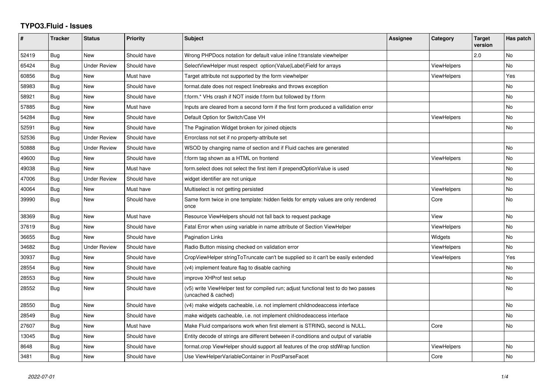## **TYPO3.Fluid - Issues**

| #     | <b>Tracker</b> | <b>Status</b>       | <b>Priority</b> | <b>Subject</b>                                                                                              | Assignee | Category           | <b>Target</b><br>version | Has patch |
|-------|----------------|---------------------|-----------------|-------------------------------------------------------------------------------------------------------------|----------|--------------------|--------------------------|-----------|
| 52419 | Bug            | <b>New</b>          | Should have     | Wrong PHPDocs notation for default value inline f:translate viewhelper                                      |          |                    | 2.0                      | <b>No</b> |
| 65424 | Bug            | <b>Under Review</b> | Should have     | SelectViewHelper must respect option(Value Label)Field for arrays                                           |          | <b>ViewHelpers</b> |                          | No.       |
| 60856 | Bug            | New                 | Must have       | Target attribute not supported by the form viewhelper                                                       |          | <b>ViewHelpers</b> |                          | Yes       |
| 58983 | Bug            | <b>New</b>          | Should have     | format.date does not respect linebreaks and throws exception                                                |          |                    |                          | <b>No</b> |
| 58921 | <b>Bug</b>     | New                 | Should have     | f:form.* VHs crash if NOT inside f:form but followed by f:form                                              |          |                    |                          | No.       |
| 57885 | Bug            | New                 | Must have       | Inputs are cleared from a second form if the first form produced a vallidation error                        |          |                    |                          | <b>No</b> |
| 54284 | Bug            | New                 | Should have     | Default Option for Switch/Case VH                                                                           |          | <b>ViewHelpers</b> |                          | No        |
| 52591 | Bug            | New                 | Should have     | The Pagination Widget broken for joined objects                                                             |          |                    |                          | No        |
| 52536 | Bug            | Under Review        | Should have     | Errorclass not set if no property-attribute set                                                             |          |                    |                          |           |
| 50888 | Bug            | Under Review        | Should have     | WSOD by changing name of section and if Fluid caches are generated                                          |          |                    |                          | No.       |
| 49600 | Bug            | New                 | Should have     | f:form tag shown as a HTML on frontend                                                                      |          | <b>ViewHelpers</b> |                          | No        |
| 49038 | Bug            | <b>New</b>          | Must have       | form select does not select the first item if prependOptionValue is used                                    |          |                    |                          | No        |
| 47006 | Bug            | <b>Under Review</b> | Should have     | widget identifier are not unique                                                                            |          |                    |                          | <b>No</b> |
| 40064 | Bug            | New                 | Must have       | Multiselect is not getting persisted                                                                        |          | <b>ViewHelpers</b> |                          | No        |
| 39990 | Bug            | New                 | Should have     | Same form twice in one template: hidden fields for empty values are only rendered<br>once                   |          | Core               |                          | <b>No</b> |
| 38369 | Bug            | New                 | Must have       | Resource ViewHelpers should not fall back to request package                                                |          | View               |                          | No        |
| 37619 | Bug            | New                 | Should have     | Fatal Error when using variable in name attribute of Section ViewHelper                                     |          | <b>ViewHelpers</b> |                          | <b>No</b> |
| 36655 | Bug            | New                 | Should have     | <b>Pagination Links</b>                                                                                     |          | Widgets            |                          | No        |
| 34682 | Bug            | <b>Under Review</b> | Should have     | Radio Button missing checked on validation error                                                            |          | <b>ViewHelpers</b> |                          | <b>No</b> |
| 30937 | Bug            | New                 | Should have     | CropViewHelper stringToTruncate can't be supplied so it can't be easily extended                            |          | ViewHelpers        |                          | Yes       |
| 28554 | Bug            | <b>New</b>          | Should have     | (v4) implement feature flag to disable caching                                                              |          |                    |                          | No.       |
| 28553 | Bug            | <b>New</b>          | Should have     | improve XHProf test setup                                                                                   |          |                    |                          | <b>No</b> |
| 28552 | Bug            | New                 | Should have     | (v5) write ViewHelper test for compiled run; adjust functional test to do two passes<br>(uncached & cached) |          |                    |                          | No.       |
| 28550 | Bug            | New                 | Should have     | (v4) make widgets cacheable, i.e. not implement childnodeaccess interface                                   |          |                    |                          | <b>No</b> |
| 28549 | Bug            | New                 | Should have     | make widgets cacheable, i.e. not implement childnodeaccess interface                                        |          |                    |                          | No        |
| 27607 | Bug            | New                 | Must have       | Make Fluid comparisons work when first element is STRING, second is NULL.                                   |          | Core               |                          | No        |
| 13045 | Bug            | New                 | Should have     | Entity decode of strings are different between if-conditions and output of variable                         |          |                    |                          |           |
| 8648  | Bug            | New                 | Should have     | format.crop ViewHelper should support all features of the crop stdWrap function                             |          | <b>ViewHelpers</b> |                          | No        |
| 3481  | Bug            | New                 | Should have     | Use ViewHelperVariableContainer in PostParseFacet                                                           |          | Core               |                          | No        |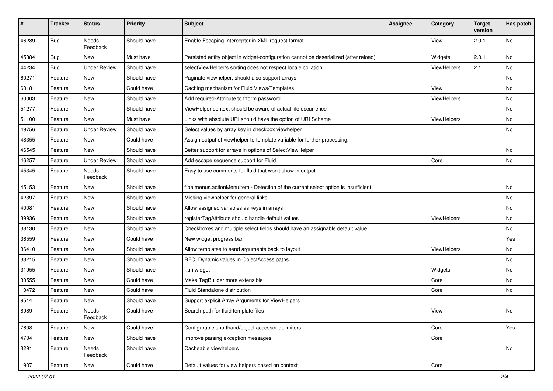| #     | <b>Tracker</b> | <b>Status</b>            | <b>Priority</b> | Subject                                                                               | <b>Assignee</b> | Category    | <b>Target</b><br>version | Has patch |
|-------|----------------|--------------------------|-----------------|---------------------------------------------------------------------------------------|-----------------|-------------|--------------------------|-----------|
| 46289 | Bug            | <b>Needs</b><br>Feedback | Should have     | Enable Escaping Interceptor in XML request format                                     |                 | View        | 2.0.1                    | No        |
| 45384 | Bug            | New                      | Must have       | Persisted entity object in widget-configuration cannot be deserialized (after reload) |                 | Widgets     | 2.0.1                    | No        |
| 44234 | Bug            | <b>Under Review</b>      | Should have     | selectViewHelper's sorting does not respect locale collation                          |                 | ViewHelpers | 2.1                      | No        |
| 60271 | Feature        | New                      | Should have     | Paginate viewhelper, should also support arrays                                       |                 |             |                          | No        |
| 60181 | Feature        | New                      | Could have      | Caching mechanism for Fluid Views/Templates                                           |                 | View        |                          | No.       |
| 60003 | Feature        | New                      | Should have     | Add required-Attribute to f:form.password                                             |                 | ViewHelpers |                          | No        |
| 51277 | Feature        | New                      | Should have     | ViewHelper context should be aware of actual file occurrence                          |                 |             |                          | No.       |
| 51100 | Feature        | New                      | Must have       | Links with absolute URI should have the option of URI Scheme                          |                 | ViewHelpers |                          | No        |
| 49756 | Feature        | <b>Under Review</b>      | Should have     | Select values by array key in checkbox viewhelper                                     |                 |             |                          | No        |
| 48355 | Feature        | New                      | Could have      | Assign output of viewhelper to template variable for further processing.              |                 |             |                          |           |
| 46545 | Feature        | New                      | Should have     | Better support for arrays in options of SelectViewHelper                              |                 |             |                          | No        |
| 46257 | Feature        | <b>Under Review</b>      | Should have     | Add escape sequence support for Fluid                                                 |                 | Core        |                          | No        |
| 45345 | Feature        | Needs<br>Feedback        | Should have     | Easy to use comments for fluid that won't show in output                              |                 |             |                          |           |
| 45153 | Feature        | New                      | Should have     | f:be.menus.actionMenuItem - Detection of the current select option is insufficient    |                 |             |                          | No        |
| 42397 | Feature        | New                      | Should have     | Missing viewhelper for general links                                                  |                 |             |                          | No        |
| 40081 | Feature        | New                      | Should have     | Allow assigned variables as keys in arrays                                            |                 |             |                          | No        |
| 39936 | Feature        | New                      | Should have     | registerTagAttribute should handle default values                                     |                 | ViewHelpers |                          | No        |
| 38130 | Feature        | New                      | Should have     | Checkboxes and multiple select fields should have an assignable default value         |                 |             |                          | No        |
| 36559 | Feature        | New                      | Could have      | New widget progress bar                                                               |                 |             |                          | Yes       |
| 36410 | Feature        | New                      | Should have     | Allow templates to send arguments back to layout                                      |                 | ViewHelpers |                          | No        |
| 33215 | Feature        | New                      | Should have     | RFC: Dynamic values in ObjectAccess paths                                             |                 |             |                          | No        |
| 31955 | Feature        | New                      | Should have     | f:uri.widget                                                                          |                 | Widgets     |                          | No        |
| 30555 | Feature        | New                      | Could have      | Make TagBuilder more extensible                                                       |                 | Core        |                          | No        |
| 10472 | Feature        | New                      | Could have      | Fluid Standalone distribution                                                         |                 | Core        |                          | No        |
| 9514  | Feature        | New                      | Should have     | Support explicit Array Arguments for ViewHelpers                                      |                 |             |                          |           |
| 8989  | Feature        | Needs<br>Feedback        | Could have      | Search path for fluid template files                                                  |                 | View        |                          | No        |
| 7608  | Feature        | New                      | Could have      | Configurable shorthand/object accessor delimiters                                     |                 | Core        |                          | Yes       |
| 4704  | Feature        | New                      | Should have     | Improve parsing exception messages                                                    |                 | Core        |                          |           |
| 3291  | Feature        | Needs<br>Feedback        | Should have     | Cacheable viewhelpers                                                                 |                 |             |                          | No        |
| 1907  | Feature        | New                      | Could have      | Default values for view helpers based on context                                      |                 | Core        |                          |           |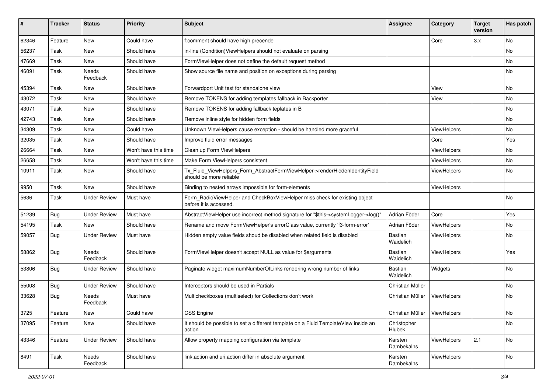| #     | <b>Tracker</b> | <b>Status</b>            | <b>Priority</b>      | <b>Subject</b>                                                                                         | <b>Assignee</b>                | Category    | <b>Target</b><br>version | Has patch |
|-------|----------------|--------------------------|----------------------|--------------------------------------------------------------------------------------------------------|--------------------------------|-------------|--------------------------|-----------|
| 62346 | Feature        | New                      | Could have           | f:comment should have high precende                                                                    |                                | Core        | 3.x                      | <b>No</b> |
| 56237 | Task           | New                      | Should have          | in-line (Condition) View Helpers should not evaluate on parsing                                        |                                |             |                          | No        |
| 47669 | Task           | New                      | Should have          | FormViewHelper does not define the default request method                                              |                                |             |                          | No        |
| 46091 | Task           | Needs<br>Feedback        | Should have          | Show source file name and position on exceptions during parsing                                        |                                |             |                          | No        |
| 45394 | Task           | New                      | Should have          | Forwardport Unit test for standalone view                                                              |                                | View        |                          | <b>No</b> |
| 43072 | Task           | New                      | Should have          | Remove TOKENS for adding templates fallback in Backporter                                              |                                | View        |                          | No        |
| 43071 | Task           | New                      | Should have          | Remove TOKENS for adding fallback teplates in B                                                        |                                |             |                          | No        |
| 42743 | Task           | New                      | Should have          | Remove inline style for hidden form fields                                                             |                                |             |                          | No        |
| 34309 | Task           | New                      | Could have           | Unknown ViewHelpers cause exception - should be handled more graceful                                  |                                | ViewHelpers |                          | No        |
| 32035 | Task           | New                      | Should have          | Improve fluid error messages                                                                           |                                | Core        |                          | Yes       |
| 26664 | Task           | New                      | Won't have this time | Clean up Form ViewHelpers                                                                              |                                | ViewHelpers |                          | No        |
| 26658 | Task           | New                      | Won't have this time | Make Form ViewHelpers consistent                                                                       |                                | ViewHelpers |                          | No        |
| 10911 | Task           | New                      | Should have          | Tx_Fluid_ViewHelpers_Form_AbstractFormViewHelper->renderHiddenIdentityField<br>should be more reliable |                                | ViewHelpers |                          | No        |
| 9950  | Task           | <b>New</b>               | Should have          | Binding to nested arrays impossible for form-elements                                                  |                                | ViewHelpers |                          |           |
| 5636  | Task           | <b>Under Review</b>      | Must have            | Form_RadioViewHelper and CheckBoxViewHelper miss check for existing object<br>before it is accessed.   |                                |             |                          | <b>No</b> |
| 51239 | <b>Bug</b>     | <b>Under Review</b>      | Must have            | AbstractViewHelper use incorrect method signature for "\$this->systemLogger->log()"                    | Adrian Föder                   | Core        |                          | Yes       |
| 54195 | Task           | <b>New</b>               | Should have          | Rename and move FormViewHelper's errorClass value, currently 'f3-form-error'                           | Adrian Föder                   | ViewHelpers |                          | No        |
| 59057 | Bug            | <b>Under Review</b>      | Must have            | Hidden empty value fields shoud be disabled when related field is disabled                             | Bastian<br>Waidelich           | ViewHelpers |                          | <b>No</b> |
| 58862 | Bug            | Needs<br>Feedback        | Should have          | FormViewHelper doesn't accept NULL as value for \$arguments                                            | <b>Bastian</b><br>Waidelich    | ViewHelpers |                          | Yes       |
| 53806 | Bug            | Under Review             | Should have          | Paginate widget maximumNumberOfLinks rendering wrong number of links                                   | <b>Bastian</b><br>Waidelich    | Widgets     |                          | No        |
| 55008 | Bug            | <b>Under Review</b>      | Should have          | Interceptors should be used in Partials                                                                | Christian Müller               |             |                          | No        |
| 33628 | Bug            | <b>Needs</b><br>Feedback | Must have            | Multicheckboxes (multiselect) for Collections don't work                                               | Christian Müller               | ViewHelpers |                          | <b>No</b> |
| 3725  | Feature        | New                      | Could have           | <b>CSS Engine</b>                                                                                      | Christian Müller   ViewHelpers |             |                          | No        |
| 37095 | Feature        | New                      | Should have          | It should be possible to set a different template on a Fluid TemplateView inside an<br>action          | Christopher<br>Hlubek          |             |                          | No        |
| 43346 | Feature        | <b>Under Review</b>      | Should have          | Allow property mapping configuration via template                                                      | Karsten<br>Dambekalns          | ViewHelpers | 2.1                      | No        |
| 8491  | Task           | Needs<br>Feedback        | Should have          | link.action and uri.action differ in absolute argument                                                 | Karsten<br>Dambekalns          | ViewHelpers |                          | No        |